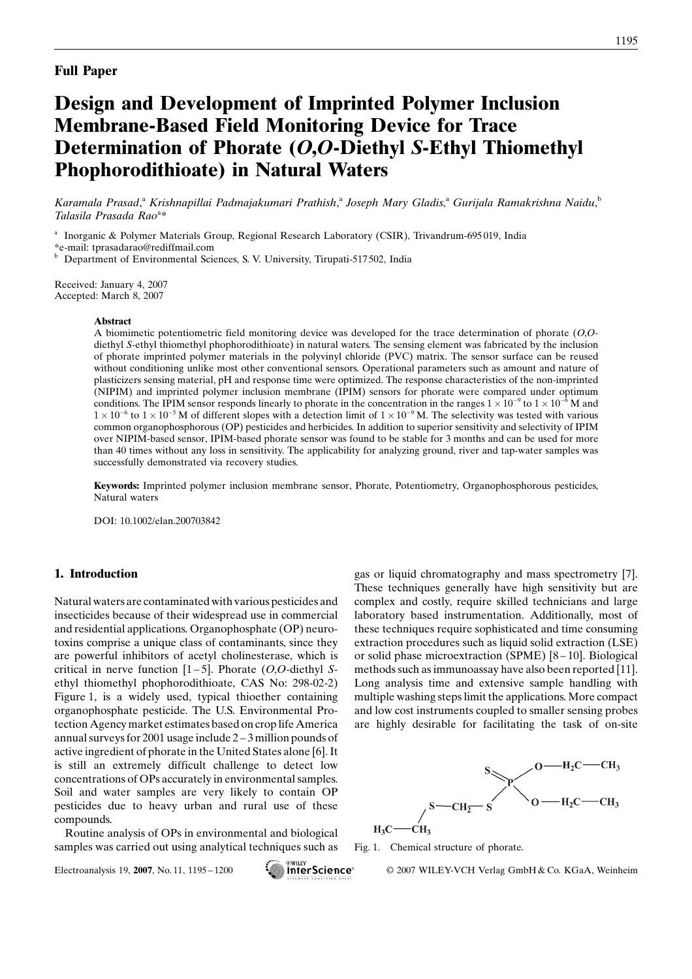# Design and Development of Imprinted Polymer Inclusion Membrane-Based Field Monitoring Device for Trace Determination of Phorate (O,O-Diethyl S-Ethyl Thiomethyl Phophorodithioate) in Natural Waters

Karamala Prasad,<sup>a</sup> Krishnapillai Padmajakumari Prathish,<sup>a</sup> Joseph Mary Gladis,<sup>a</sup> Gurijala Ramakrishna Naidu,<sup>b</sup> Talasila Prasada Rao<sup>a\*</sup>

<sup>a</sup> Inorganic & Polymer Materials Group, Regional Research Laboratory (CSIR), Trivandrum-695 019, India

\*e-mail: tprasadarao@rediffmail.com

**b** Department of Environmental Sciences, S. V. University, Tirupati-517502, India

Received: January 4, 2007 Accepted: March 8, 2007

#### **Abstract**

A biomimetic potentiometric field monitoring device was developed for the trace determination of phorate (O,Odiethyl S-ethyl thiomethyl phophorodithioate) in natural waters. The sensing element was fabricated by the inclusion of phorate imprinted polymer materials in the polyvinyl chloride (PVC) matrix. The sensor surface can be reused without conditioning unlike most other conventional sensors. Operational parameters such as amount and nature of plasticizers sensing material, pH andresponse time were optimized. The response characteristics of the non-imprinted (NIPIM) and imprinted polymer inclusion membrane (IPIM) sensors for phorate were compared under optimum conditions. The IPIM sensor responds linearly to phorate in the concentration in the ranges  $1 \times 10^{-9}$  to  $1 \times 10^{-6}$  M and  $1 \times 10^{-6}$  to  $1 \times 10^{-5}$  M of different slopes with a detection limit of  $1 \times 10^{-9}$  M. The selectivity was tested with various common organophosphorous (OP) pesticides and herbicides. In addition to superior sensitivity and selectivity of IPIM over NIPIM-based sensor, IPIM-based phorate sensor was found to be stable for 3 months and can be used for more than 40 times without any loss in sensitivity. The applicability for analyzing ground, river and tap-water samples was successfully demonstrated via recovery studies.

Keywords: Imprinted polymer inclusion membrane sensor, Phorate, Potentiometry, Organophosphorous pesticides, Natural waters

DOI: 10.1002/elan.200703842

## 1. Introduction

Natural waters are contaminatedwith various pesticides and insecticides because of their widespread use in commercial and residential applications. Organophosphate (OP) neurotoxins comprise a unique class of contaminants, since they are powerful inhibitors of acetyl cholinesterase, which is critical in nerve function  $[1-5]$ . Phorate (*O*,*O*-diethyl *S*ethyl thiomethyl phophorodithioate, CAS No: 298-02-2) Figure 1, is a widely used, typical thioether containing organophosphate pesticide. The U.S. Environmental Protection Agency market estimates basedon crop life America annual surveys for 2001 usage include 2 – 3 million pounds of active ingredient of phorate in the United States alone [6]. It is still an extremely difficult challenge to detect low concentrations of OPs accurately in environmental samples. Soil andwater samples are very likely to contain OP pesticides due to heavy urban and rural use of these compounds.

Routine analysis of OPs in environmental andbiological samples was carried out using analytical techniques such as

gas or liquid chromatography and mass spectrometry [7]. These techniques generally have high sensitivity but are complex and costly, require skilled technicians and large laboratory based instrumentation. Additionally, most of these techniques require sophisticated and time consuming extraction procedures such as liquid solid extraction (LSE) or solid phase microextraction (SPME)  $[8 - 10]$ . Biological methods such as immunoassay have also been reported [11]. Long analysis time and extensive sample handling with multiple washing steps limit the applications. More compact and low cost instruments coupled to smaller sensing probes are highly desirable for facilitating the task of on-site



Fig. 1. Chemical structure of phorate.

Electroanalysis 19, 2007, No. 11, 1195 – 1200 **Exercise 11 The PScience** © 2007 WILEY-VCH Verlag GmbH & Co. KGaA, Weinheim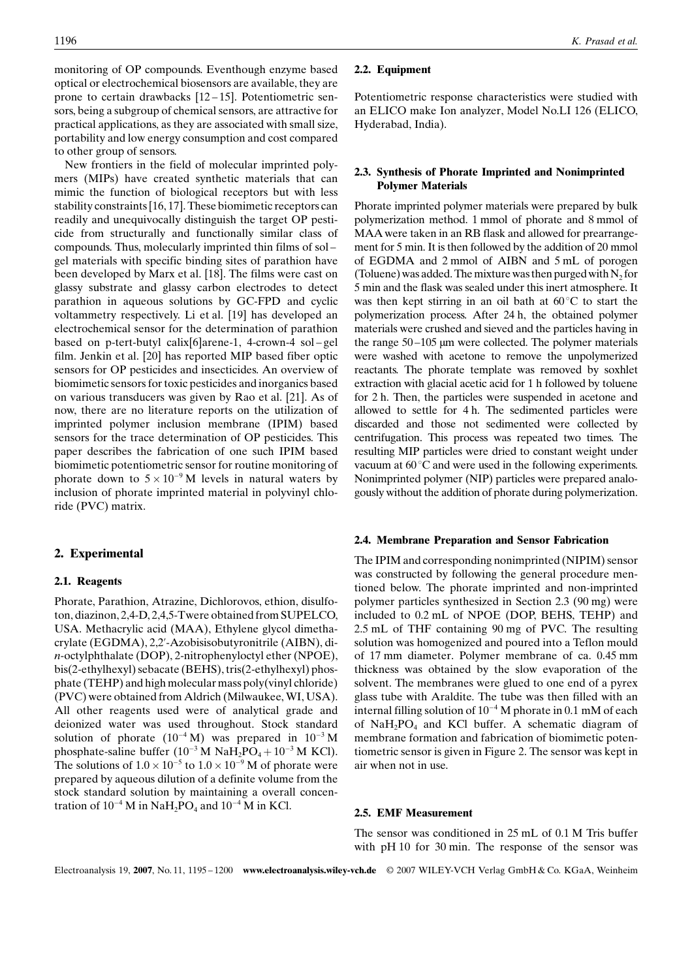monitoring of OP compounds. Eventhough enzyme based optical or electrochemical biosensors are available, they are prone to certain drawbacks [12 – 15]. Potentiometric sensors, being a subgroup of chemical sensors, are attractive for practical applications, as they are associated with small size, portability and low energy consumption and cost compared to other group of sensors.

New frontiers in the field of molecular imprinted polymers (MIPs) have created synthetic materials that can mimic the function of biological receptors but with less stability constraints [16, 17]. These biomimetic receptors can readily and unequivocally distinguish the target OP pesticide from structurally and functionally similar class of compounds. Thus, molecularly imprinted thin films of sol – gel materials with specific binding sites of parathion have been developed by Marx et al. [18]. The films were cast on glassy substrate and glassy carbon electrodes to detect parathion in aqueous solutions by GC-FPD and cyclic voltammetry respectively. Li et al. [19] has developed an electrochemical sensor for the determination of parathion based on p-tert-butyl calix[6]arene-1, 4-crown-4 sol-gel film. Jenkin et al. [20] has reported MIP based fiber optic sensors for OP pesticides and insecticides. An overview of biomimetic sensors for toxic pesticides and inorganics based on various transducers was given by Rao et al. [21]. As of now, there are no literature reports on the utilization of imprinted polymer inclusion membrane (IPIM) based sensors for the trace determination of OP pesticides. This paper describes the fabrication of one such IPIM based biomimetic potentiometric sensor for routine monitoring of phorate down to  $5 \times 10^{-9}$  M levels in natural waters by inclusion of phorate imprinted material in polyvinyl chloride (PVC) matrix.

## 2. Experimental

## 2.1. Reagents

Phorate, Parathion, Atrazine, Dichlorovos, ethion, disulfoton, diazinon, 2,4-D, 2,4,5-Twere obtained from SUPELCO, USA. Methacrylic acid(MAA), Ethylene glycol dimethacrylate (EGDMA), 2,2'-Azobisisobutyronitrile (AIBN), din-octylphthalate (DOP), 2-nitrophenyloctyl ether (NPOE), bis(2-ethylhexyl) sebacate (BEHS), tris(2-ethylhexyl) phosphate (TEHP) andhigh molecular mass poly(vinyl chloride) (PVC) were obtained from Aldrich (Milwaukee, WI, USA). All other reagents used were of analytical grade and deionized water was used throughout. Stock standard solution of phorate  $(10^{-4} \text{ M})$  was prepared in  $10^{-3} \text{ M}$ phosphate-saline buffer  $(10^{-3} M \text{ Na}H_2 \text{PO}_4 + 10^{-3} M \text{ KCl})$ . The solutions of  $1.0 \times 10^{-5}$  to  $1.0 \times 10^{-9}$  M of phorate were prepared by aqueous dilution of a definite volume from the stock standard solution by maintaining a overall concentration of  $10^{-4}$  M in NaH<sub>2</sub>PO<sub>4</sub> and  $10^{-4}$  M in KCl.

## 2.2. Equipment

Potentiometric response characteristics were studied with an ELICO make Ion analyzer, Model No.LI 126 (ELICO, Hyderabad, India).

## 2.3. Synthesis of Phorate Imprinted and Nonimprinted Polymer Materials

Phorate imprinted polymer materials were prepared by bulk polymerization method. 1 mmol of phorate and 8 mmol of MAA were taken in an RB flask and allowed for prearrangement for 5 min. It is then followed by the addition of 20 mmol of EGDMA and 2 mmol of AIBN and 5 mL of porogen (Toluene) was added. The mixture was then purged with  $N_2$  for 5 min and the flask was sealed under this inert atmosphere. It was then kept stirring in an oil bath at  $60^{\circ}$ C to start the polymerization process. After 24 h, the obtained polymer materials were crushed and sieved and the particles having in the range  $50 - 105$  µm were collected. The polymer materials were washed with acetone to remove the unpolymerized reactants. The phorate template was removed by soxhlet extraction with glacial acetic acid for 1 h followed by toluene for 2 h. Then, the particles were suspended in acetone and allowed to settle for 4 h. The sedimented particles were discarded and those not sedimented were collected by centrifugation. This process was repeated two times. The resulting MIP particles were dried to constant weight under vacuum at  $60^{\circ}$ C and were used in the following experiments. Nonimprinted polymer (NIP) particles were prepared analogously without the addition of phorate during polymerization.

#### 2.4. Membrane Preparation and Sensor Fabrication

The IPIM and corresponding nonimprinted (NIPIM) sensor was constructed by following the general procedure mentioned below. The phorate imprinted and non-imprinted polymer particles synthesized in Section 2.3 (90 mg) were included to 0.2 mL of NPOE (DOP, BEHS, TEHP) and 2.5 mL of THF containing 90 mg of PVC. The resulting solution was homogenized and poured into a Teflon mould of 17 mm diameter. Polymer membrane of ca. 0.45 mm thickness was obtained by the slow evaporation of the solvent. The membranes were glued to one end of a pyrex glass tube with Araldite. The tube was then filled with an internal filling solution of  $10^{-4}$  M phorate in 0.1 mM of each of  $NaH<sub>2</sub>PO<sub>4</sub>$  and KCl buffer. A schematic diagram of membrane formation and fabrication of biomimetic potentiometric sensor is given in Figure 2. The sensor was kept in air when not in use.

#### 2.5. EMF Measurement

The sensor was conditioned in 25 mL of 0.1 M Tris buffer with pH 10 for 30 min. The response of the sensor was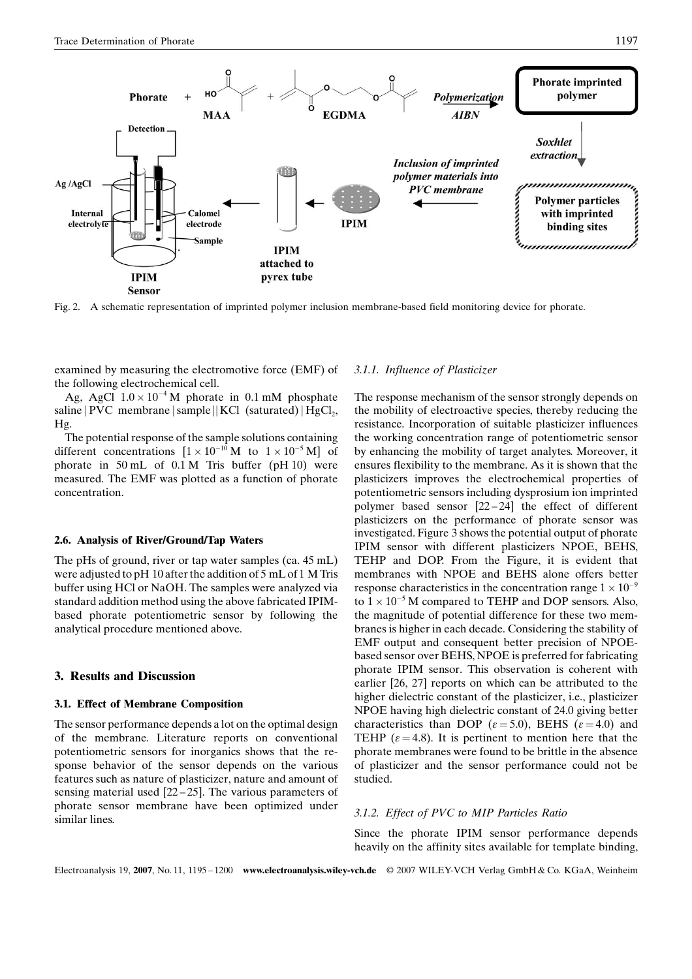

Fig. 2. A schematic representation of imprinted polymer inclusion membrane-based field monitoring device for phorate.

examined by measuring the electromotive force (EMF) of the following electrochemical cell.

Ag, AgCl  $1.0 \times 10^{-4}$  M phorate in 0.1 mM phosphate saline | PVC membrane | sample || KCl (saturated) | HgCl<sub>2</sub>, Hg.

The potential response of the sample solutions containing different concentrations  $[1 \times 10^{-10} \text{ M}$  to  $1 \times 10^{-5} \text{ M}]$  of phorate in 50 mL of 0.1 M Tris buffer (pH 10) were measured. The EMF was plotted as a function of phorate concentration.

## 2.6. Analysis of River/Ground/Tap Waters

The pHs of ground, river or tap water samples (ca. 45 mL) were adjusted to pH 10 after the addition of 5 mL of 1 M Tris buffer using HCl or NaOH. The samples were analyzed via standard addition method using the above fabricated IPIMbased phorate potentiometric sensor by following the analytical procedure mentioned above.

## 3. Results and Discussion

#### 3.1. Effect of Membrane Composition

The sensor performance depends a lot on the optimal design of the membrane. Literature reports on conventional potentiometric sensors for inorganics shows that the response behavior of the sensor depends on the various features such as nature of plasticizer, nature andamount of sensing material used  $[22 - 25]$ . The various parameters of phorate sensor membrane have been optimized under similar lines.

## 3.1.1. Influence of Plasticizer

The response mechanism of the sensor strongly depends on the mobility of electroactive species, thereby reducing the resistance. Incorporation of suitable plasticizer influences the working concentration range of potentiometric sensor by enhancing the mobility of target analytes. Moreover, it ensures flexibility to the membrane. As it is shown that the plasticizers improves the electrochemical properties of potentiometric sensors including dysprosium ion imprinted polymer based sensor  $[22 - 24]$  the effect of different plasticizers on the performance of phorate sensor was investigated. Figure 3 shows the potential output of phorate IPIM sensor with different plasticizers NPOE, BEHS, TEHP and DOP. From the Figure, it is evident that membranes with NPOE and BEHS alone offers better response characteristics in the concentration range  $1 \times 10^{-9}$ to  $1 \times 10^{-5}$  M compared to TEHP and DOP sensors. Also, the magnitude of potential difference for these two membranes is higher in each decade. Considering the stability of EMF output and consequent better precision of NPOEbased sensor over BEHS, NPOE is preferred for fabricating phorate IPIM sensor. This observation is coherent with earlier  $[26, 27]$  reports on which can be attributed to the higher dielectric constant of the plasticizer, i.e., plasticizer NPOE having high dielectric constant of 24.0 giving better characteristics than DOP ( $\varepsilon$  = 5.0), BEHS ( $\varepsilon$  = 4.0) and TEHP ( $\varepsilon$  = 4.8). It is pertinent to mention here that the phorate membranes were found to be brittle in the absence of plasticizer and the sensor performance could not be studied.

#### 3.1.2. Effect of PVC to MIP Particles Ratio

Since the phorate IPIM sensor performance depends heavily on the affinity sites available for template binding,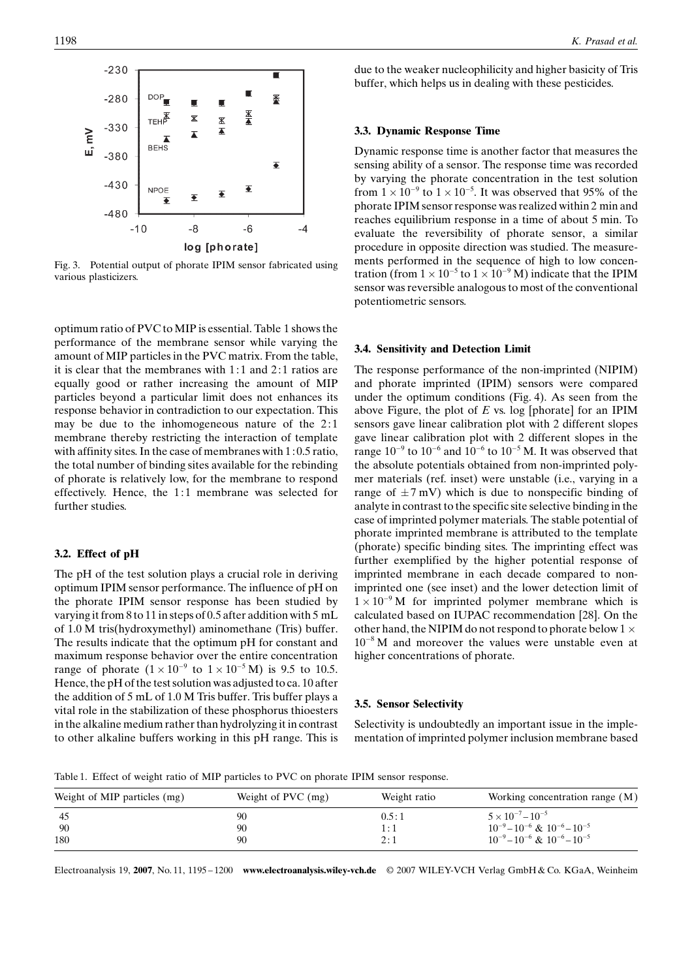

Fig. 3. Potential output of phorate IPIM sensor fabricated using various plasticizers.

optimum ratio of PVC to MIP is essential. Table 1 shows the performance of the membrane sensor while varying the amount of MIP particles in the PVC matrix. From the table, it is clear that the membranes with  $1:1$  and  $2:1$  ratios are equally good or rather increasing the amount of MIP particles beyond a particular limit does not enhances its response behavior in contradiction to our expectation. This may be due to the inhomogeneous nature of the  $2:1$ membrane thereby restricting the interaction of template with affinity sites. In the case of membranes with 1 : 0.5 ratio, the total number of binding sites available for the rebinding of phorate is relatively low, for the membrane to respond effectively. Hence, the 1:1 membrane was selected for further studies.

## 3.2. Effect of pH

The pH of the test solution plays a crucial role in deriving optimum IPIM sensor performance. The influence of pH on the phorate IPIM sensor response has been studied by varying it from 8 to 11 in steps of 0.5 after addition with 5 mL of 1.0 M tris(hydroxymethyl) aminomethane (Tris) buffer. The results indicate that the optimum pH for constant and maximum response behavior over the entire concentration range of phorate  $(1 \times 10^{-9}$  to  $1 \times 10^{-5}$  M) is 9.5 to 10.5. Hence, the pH of the test solution was adjusted to ca. 10 after the addition of 5 mL of 1.0 M Tris buffer. Tris buffer plays a vital role in the stabilization of these phosphorus thioesters in the alkaline medium rather than hydrolyzing it in contrast to other alkaline buffers working in this pH range. This is due to the weaker nucleophilicity and higher basicity of Tris buffer, which helps us in dealing with these pesticides.

## 3.3. Dynamic Response Time

Dynamic response time is another factor that measures the sensing ability of a sensor. The response time was recorded by varying the phorate concentration in the test solution from  $1 \times 10^{-9}$  to  $1 \times 10^{-5}$ . It was observed that 95% of the phorate IPIM sensor response was realized within 2 min and reaches equilibrium response in a time of about 5 min. To evaluate the reversibility of phorate sensor, a similar procedure in opposite direction was studied. The measurements performed in the sequence of high to low concentration (from  $1 \times 10^{-5}$  to  $1 \times 10^{-9}$  M) indicate that the IPIM sensor was reversible analogous to most of the conventional potentiometric sensors.

## 3.4. Sensitivity and Detection Limit

The response performance of the non-imprinted(NIPIM) and phorate imprinted (IPIM) sensors were compared under the optimum conditions (Fig. 4). As seen from the above Figure, the plot of  $E$  vs. log [phorate] for an IPIM sensors gave linear calibration plot with 2 different slopes gave linear calibration plot with 2 different slopes in the range  $10^{-9}$  to  $10^{-6}$  and  $10^{-6}$  to  $10^{-5}$  M. It was observed that the absolute potentials obtained from non-imprinted polymer materials (ref. inset) were unstable (i.e., varying in a range of  $\pm$ 7 mV) which is due to nonspecific binding of analyte in contrast to the specific site selective binding in the case of imprinted polymer materials. The stable potential of phorate imprinted membrane is attributed to the template (phorate) specific binding sites. The imprinting effect was further exemplified by the higher potential response of imprinted membrane in each decade compared to nonimprinted one (see inset) and the lower detection limit of  $1 \times 10^{-9}$  M for imprinted polymer membrane which is calculated based on IUPAC recommendation [28]. On the other hand, the NIPIM do not respond to phorate below  $1 \times$  $10^{-8}$  M and moreover the values were unstable even at higher concentrations of phorate.

## 3.5. Sensor Selectivity

Selectivity is undoubtedly an important issue in the implementation of imprinted polymer inclusion membrane based

Table 1. Effect of weight ratio of MIP particles to PVC on phorate IPIM sensor response.

| Weight of MIP particles (mg) | Weight of $PVC$ (mg) | Weight ratio | Working concentration range (M)                                           |
|------------------------------|----------------------|--------------|---------------------------------------------------------------------------|
| - 45<br>- 90                 | 90<br>90             | 0.5:1        | $5 \times 10^{-7} - 10^{-5}$<br>$10^{-9} - 10^{-6}$ & $10^{-6} - 10^{-5}$ |
| 180                          | 90                   | 1:1<br>2:1   | $10^{-9} - 10^{-6}$ & $10^{-6} - 10^{-5}$                                 |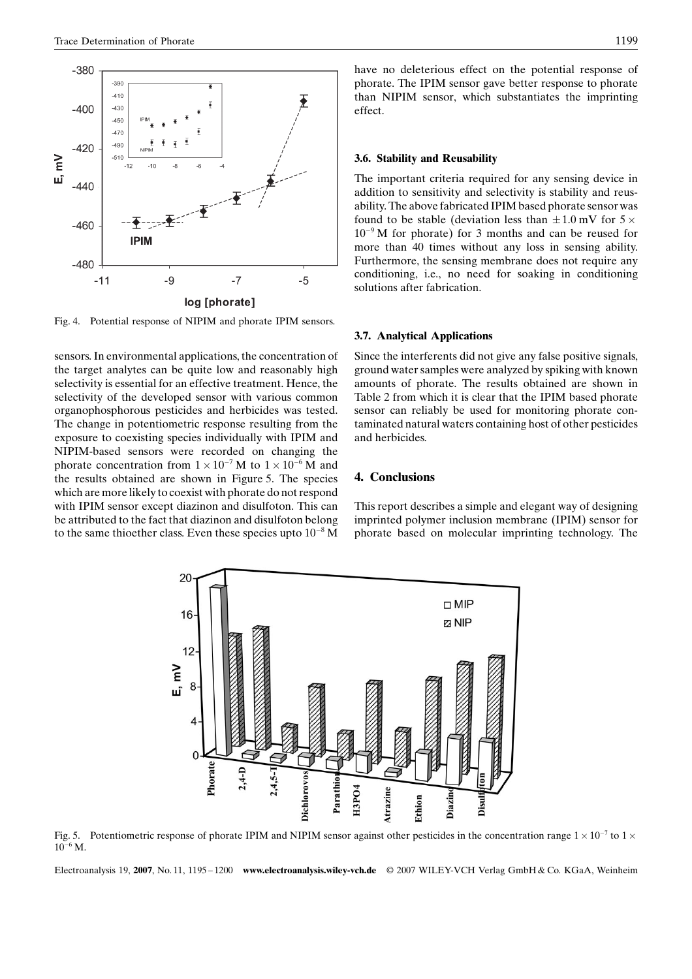

Fig. 4. Potential response of NIPIM and phorate IPIM sensors.

sensors. In environmental applications, the concentration of the target analytes can be quite low and reasonably high selectivity is essential for an effective treatment. Hence, the selectivity of the developed sensor with various common organophosphorous pesticides and herbicides was tested. The change in potentiometric response resulting from the exposure to coexisting species individually with IPIM and NIPIM-based sensors were recorded on changing the phorate concentration from  $1 \times 10^{-7}$  M to  $1 \times 10^{-6}$  M and the results obtained are shown in Figure 5. The species which are more likely to coexist with phorate do not respond with IPIM sensor except diazinon and disulfoton. This can be attributed to the fact that diazinon and disulfoton belong to the same thioether class. Even these species upto  $10^{-8}$  M

have no deleterious effect on the potential response of phorate. The IPIM sensor gave better response to phorate than NIPIM sensor, which substantiates the imprinting effect.

#### 3.6. Stability and Reusability

The important criteria required for any sensing device in addition to sensitivity and selectivity is stability and reusability. The above fabricated IPIM based phorate sensor was found to be stable (deviation less than  $\pm 1.0$  mV for  $5 \times$  $10^{-9}$  M for phorate) for 3 months and can be reused for more than 40 times without any loss in sensing ability. Furthermore, the sensing membrane does not require any conditioning, i.e., no need for soaking in conditioning solutions after fabrication.

### 3.7. Analytical Applications

Since the interferents did not give any false positive signals, groundwater samples were analyzedby spiking with known amounts of phorate. The results obtained are shown in Table 2 from which it is clear that the IPIM based phorate sensor can reliably be used for monitoring phorate contaminated natural waters containing host of other pesticides and herbicides.

## 4. Conclusions

This report describes a simple and elegant way of designing imprinted polymer inclusion membrane (IPIM) sensor for phorate based on molecular imprinting technology. The



Fig. 5. Potentiometric response of phorate IPIM and NIPIM sensor against other pesticides in the concentration range  $1 \times 10^{-7}$  to  $1 \times$  $10^{-6}$  M.